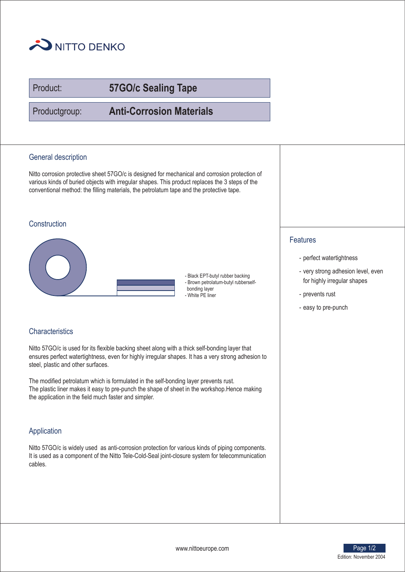

Product:

# **57GO/c Sealing Tape**

Productgroup:

**Anti-Corrosion Materials**

# General description

Nitto corrosion protective sheet 57GO/c is designed for mechanical and corrosion protection of various kinds of buried objects with irregular shapes. This product replaces the 3 steps of the conventional method: the filling materials, the petrolatum tape and the protective tape.

# **Construction**



- Black EPT-butyl rubber backing - Brown petrolatum-butyl rubberselfbonding layer - White PE liner

#### **Characteristics**

Nitto 57GO/c is used for its flexible backing sheet along with a thick self-bonding layer that ensures perfect watertightness, even for highly irregular shapes. It has a very strong adhesion to steel, plastic and other surfaces.

The modified petrolatum which is formulated in the self-bonding layer prevents rust. The plastic liner makes it easy to pre-punch the shape of sheet in the workshop.Hence making the application in the field much faster and simpler.

# Application

Nitto 57GO/c is widely used as anti-corrosion protection for various kinds of piping components. It is used as a component of the Nitto Tele-Cold-Seal joint-closure system for telecommunication cables.

### Features

- perfect watertightness
- very strong adhesion level, even for highly irregular shapes
- prevents rust
- easy to pre-punch